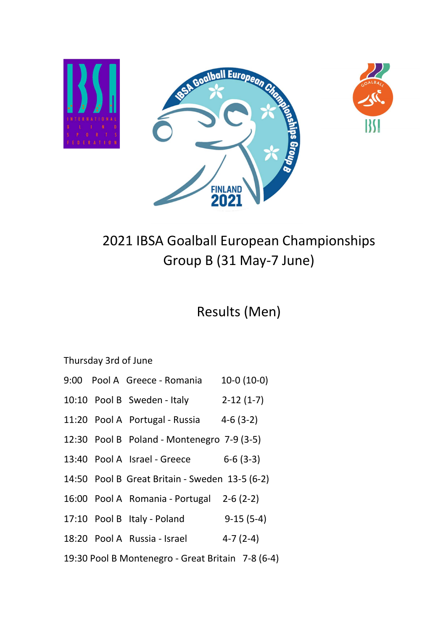

# 2021 IBSA Goalball European Championships Group B (31 May-7 June)

# Results (Men)

## Thursday 3rd of June

- 9:00 Pool A Greece Romania 10-0 (10-0)
- 10:10 Pool B Sweden Italy 2-12 (1-7)
- 11:20 Pool A Portugal Russia 4-6 (3-2)
- 12:30 Pool B Poland Montenegro 7-9 (3-5)
- 13:40 Pool A Israel Greece 6-6 (3-3)
- 14:50 Pool B Great Britain Sweden 13-5 (6-2)
- 16:00 Pool A Romania Portugal 2-6 (2-2)
- 17:10 Pool B Italy Poland 9-15 (5-4)
- 18:20 Pool A Russia Israel 4-7 (2-4)
- 19:30 Pool B Montenegro Great Britain 7-8 (6-4)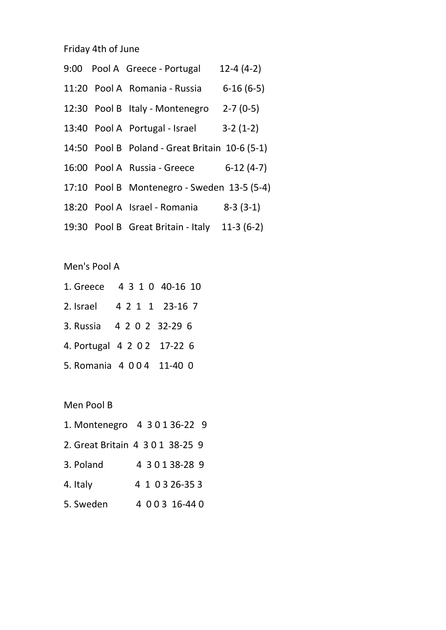Friday 4th of June

|  | 9:00 Pool A Greece - Portugal                  | $12-4(4-2)$ |
|--|------------------------------------------------|-------------|
|  | 11:20 Pool A Romania - Russia                  | $6-16(6-5)$ |
|  | 12:30 Pool B Italy - Montenegro                | $2-7(0-5)$  |
|  | 13:40 Pool A Portugal - Israel 3-2 (1-2)       |             |
|  | 14:50 Pool B Poland - Great Britain 10-6 (5-1) |             |
|  | 16:00 Pool A Russia - Greece                   | $6-12(4-7)$ |
|  | 17:10 Pool B Montenegro - Sweden 13-5 (5-4)    |             |
|  | 18:20 Pool A Israel - Romania 8-3 (3-1)        |             |
|  | 19:30 Pool B Great Britain - Italy 11-3 (6-2)  |             |

Men's Pool A

- 1. Greece 4 3 1 0 40-16 10
- 2. Israel 4 2 1 1 23-16 7
- 3. Russia 4 2 0 2 32-29 6
- 4. Portugal 4 2 0 2 17-22 6
- 5. Romania 4 0 0 4 11-40 0

Men Pool B

|           | 1. Montenegro 4 3 0 1 36-22 9    |
|-----------|----------------------------------|
|           | 2. Great Britain 4 3 0 1 38-25 9 |
| 3. Poland | 4 3 0 1 3 8 - 2 8 9              |
| 4. Italy  | 4 1 0 3 26 - 35 3                |
| 5. Sweden | 4 0 0 3 16-44 0                  |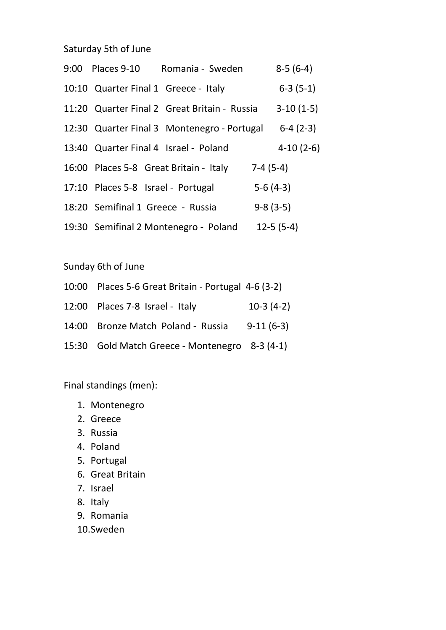### Saturday 5th of June

| 9:00 Places 9-10                     | Romania - Sweden                             |            | $8-5(6-4)$  |
|--------------------------------------|----------------------------------------------|------------|-------------|
| 10:10 Quarter Final 1 Greece - Italy |                                              |            | $6-3(5-1)$  |
|                                      | 11:20 Quarter Final 2 Great Britain - Russia |            | $3-10(1-5)$ |
|                                      | 12:30 Quarter Final 3 Montenegro - Portugal  |            | $6-4(2-3)$  |
|                                      | 13:40 Quarter Final 4 Israel - Poland        |            | $4-10(2-6)$ |
|                                      | 16:00 Places 5-8 Great Britain - Italy       | $7-4(5-4)$ |             |
| 17:10 Places 5-8 Israel - Portugal   |                                              | $5-6(4-3)$ |             |
| 18:20 Semifinal 1 Greece - Russia    |                                              | $9-8(3-5)$ |             |
|                                      | 19:30 Semifinal 2 Montenegro - Poland        |            | $12-5(5-4)$ |

Sunday 6th of June

| 10:00 Places 5-6 Great Britain - Portugal 4-6 (3-2) |             |
|-----------------------------------------------------|-------------|
| 12:00 Places 7-8 Israel - Italy                     | $10-3(4-2)$ |

- 14:00 Bronze Match Poland Russia 9-11 (6-3)
- 15:30 Gold Match Greece Montenegro 8-3 (4-1)

Final standings (men):

- 1. Montenegro
- 2. Greece
- 3. Russia
- 4. Poland
- 5. Portugal
- 6. Great Britain
- 7. Israel
- 8. Italy
- 9. Romania
- 10.Sweden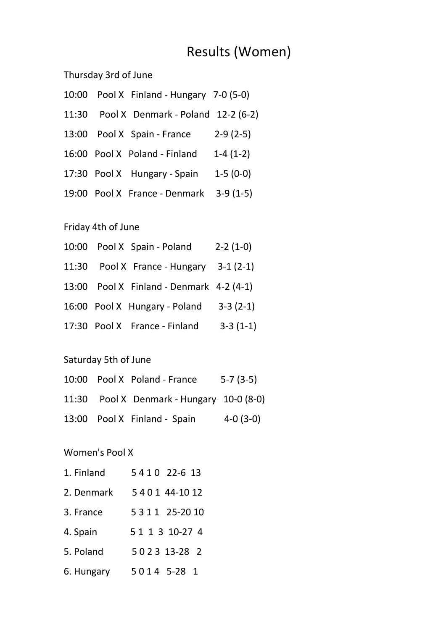# Results (Women)

Thursday 3rd of June

- 10:00 Pool X Finland Hungary 7-0 (5-0)
- 11:30 Pool X Denmark Poland 12-2 (6-2)
- 13:00 Pool X Spain France 2-9 (2-5)
- 16:00 Pool X Poland Finland 1-4 (1-2)
- 17:30 Pool X Hungary Spain 1-5 (0-0)
- 19:00 Pool X France Denmark 3-9 (1-5)

Friday 4th of June

|  | 10:00 Pool X Spain - Poland              | $2-2(1-0)$ |
|--|------------------------------------------|------------|
|  | 11:30 Pool X France - Hungary 3-1 (2-1)  |            |
|  | 13:00 Pool X Finland - Denmark 4-2 (4-1) |            |
|  | 16:00 Pool X Hungary - Poland 3-3 (2-1)  |            |
|  | 17:30 Pool X France - Finland            | $3-3(1-1)$ |

### Saturday 5th of June

|  | 10:00 Pool X Poland - France              | $5-7(3-5)$ |
|--|-------------------------------------------|------------|
|  | 11:30 Pool X Denmark - Hungary 10-0 (8-0) |            |
|  | 13:00 Pool X Finland - Spain              | $4-0(3-0)$ |

#### Women's Pool X

| 1. Finland | 5410 22-6 13        |
|------------|---------------------|
| 2. Denmark | 5401 44-10 12       |
| 3. France  | 5 3 1 1 2 5 - 20 10 |
| 4. Spain   | 5 1 1 3 10-27 4     |
| 5. Poland  | 5023 13-28 2        |
| 6. Hungary | 5014 5-28 1         |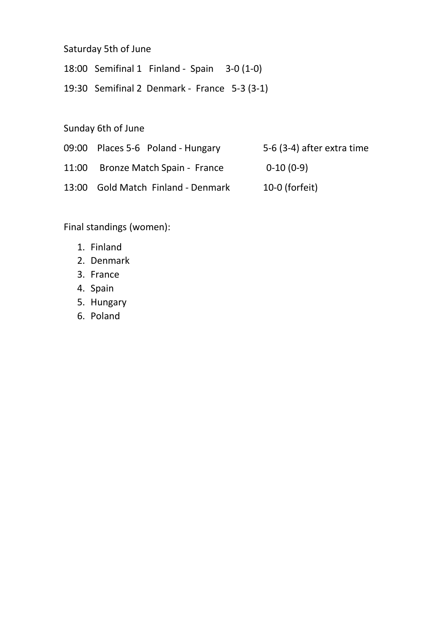## Saturday 5th of June

18:00 Semifinal 1 Finland - Spain 3-0 (1-0)

19:30 Semifinal 2 Denmark - France 5-3 (3-1)

Sunday 6th of June

| 09:00 Places 5-6 Poland - Hungary  | 5-6 (3-4) after extra time |
|------------------------------------|----------------------------|
| 11:00 Bronze Match Spain - France  | $0-10(0-9)$                |
| 13:00 Gold Match Finland - Denmark | 10-0 (forfeit)             |

Final standings (women):

- 1. Finland
- 2. Denmark
- 3. France
- 4. Spain
- 5. Hungary
- 6. Poland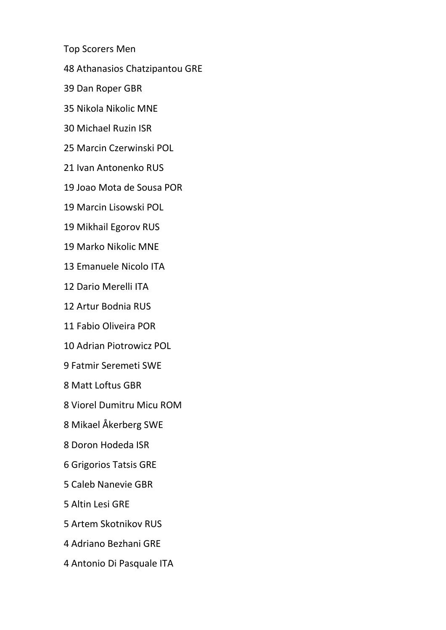Top Scorers Men

48 Athanasios Chatzipantou GRE

39 Dan Roper GBR

35 Nikola Nikolic MNE

30 Michael Ruzin ISR

25 Marcin Czerwinski POL

21 Ivan Antonenko RUS

19 Joao Mota de Sousa POR

19 Marcin Lisowski POL

19 Mikhail Egorov RUS

19 Marko Nikolic MNE

13 Emanuele Nicolo ITA

12 Dario Merelli ITA

12 Artur Bodnia RUS

11 Fabio Oliveira POR

10 Adrian Piotrowicz POL

9 Fatmir Seremeti SWE

8 Matt Loftus GBR

8 Viorel Dumitru Micu ROM

8 Mikael Åkerberg SWE

8 Doron Hodeda ISR

6 Grigorios Tatsis GRE

5 Caleb Nanevie GBR

5 Altin Lesi GRE

5 Artem Skotnikov RUS

4 Adriano Bezhani GRE

4 Antonio Di Pasquale ITA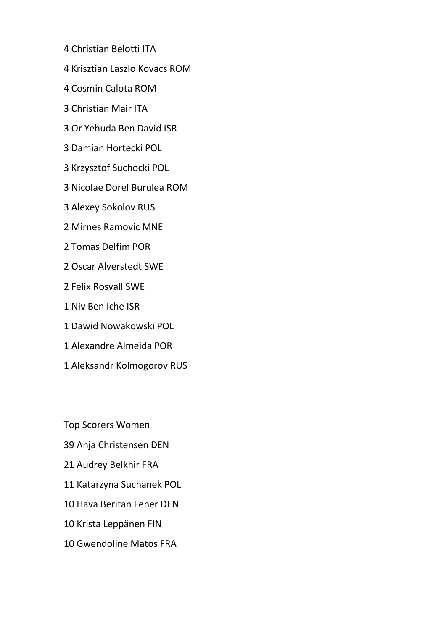- 4 Christian Belotti ITA
- 4 Krisztian Laszlo Kovacs ROM
- 4 Cosmin Calota ROM
- 3 Christian Mair ITA
- 3 Or Yehuda Ben David ISR
- 3 Damian Hortecki POL
- 3 Krzysztof Suchocki POL
- 3 Nicolae Dorel Burulea ROM
- 3 Alexey Sokolov RUS
- 2 Mirnes Ramovic MNE
- 2 Tomas Delfim POR
- 2 Oscar Alverstedt SWE
- 2 Felix Rosvall SWE
- 1 Niv Ben Iche ISR
- 1 Dawid Nowakowski POL
- 1 Alexandre Almeida POR
- 1 Aleksandr Kolmogorov RUS

Top Scorers Women

- 39 Anja Christensen DEN
- 21 Audrey Belkhir FRA
- 11 Katarzyna Suchanek POL
- 10 Hava Beritan Fener DEN
- 10 Krista Leppänen FIN
- 10 Gwendoline Matos FRA